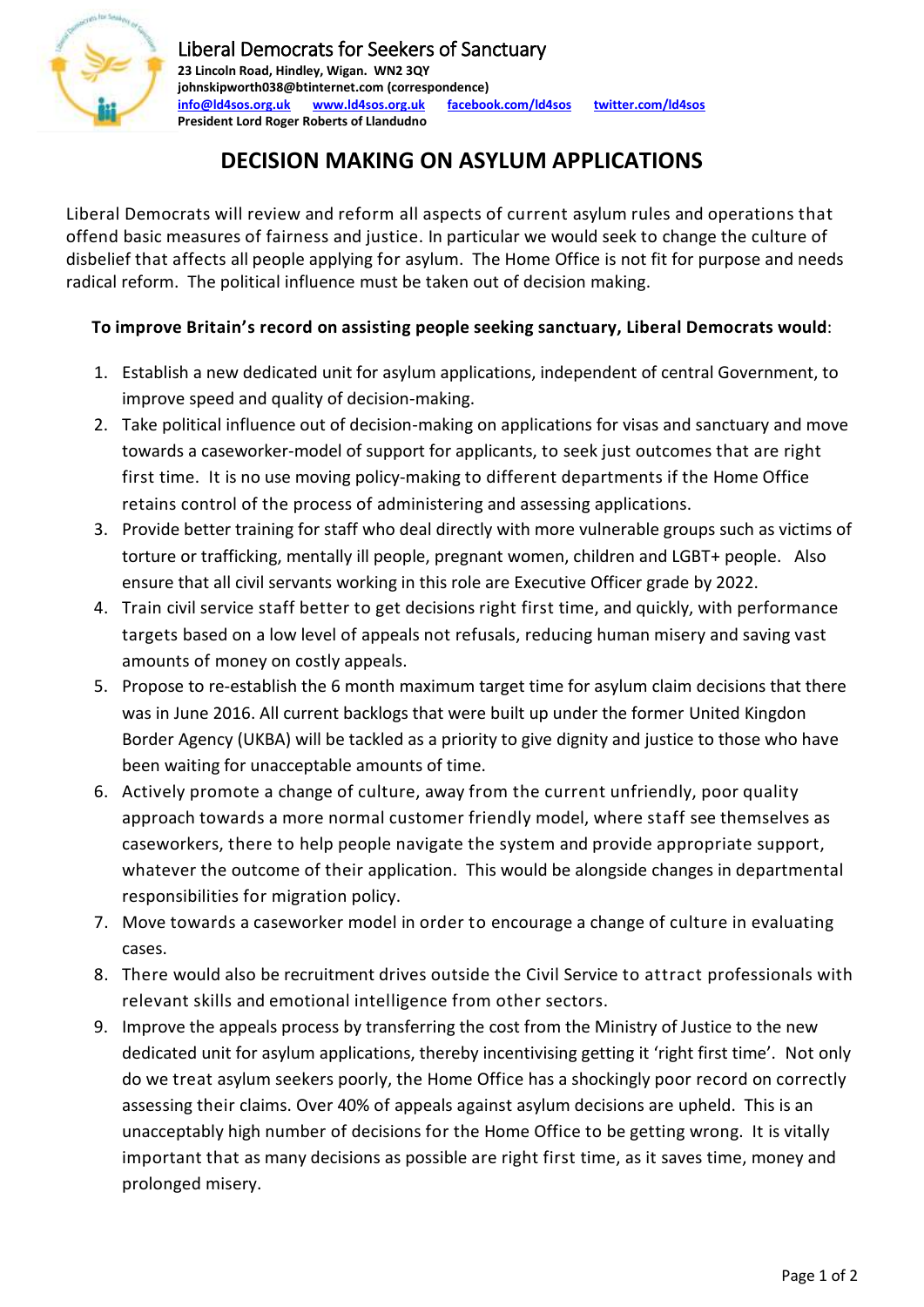

## **DECISION MAKING ON ASYLUM APPLICATIONS**

Liberal Democrats will review and reform all aspects of current asylum rules and operations that offend basic measures of fairness and justice. In particular we would seek to change the culture of disbelief that affects all people applying for asylum. The Home Office is not fit for purpose and needs radical reform. The political influence must be taken out of decision making.

## **To improve Britain's record on assisting people seeking sanctuary, Liberal Democrats would**:

- 1. Establish a new dedicated unit for asylum applications, independent of central Government, to improve speed and quality of decision-making.
- 2. Take political influence out of decision-making on applications for visas and sanctuary and move towards a caseworker-model of support for applicants, to seek just outcomes that are right first time. It is no use moving policy-making to different departments if the Home Office retains control of the process of administering and assessing applications.
- 3. Provide better training for staff who deal directly with more vulnerable groups such as victims of torture or trafficking, mentally ill people, pregnant women, children and LGBT+ people. Also ensure that all civil servants working in this role are Executive Officer grade by 2022.
- 4. Train civil service staff better to get decisions right first time, and quickly, with performance targets based on a low level of appeals not refusals, reducing human misery and saving vast amounts of money on costly appeals.
- 5. Propose to re-establish the 6 month maximum target time for asylum claim decisions that there was in June 2016. All current backlogs that were built up under the former United Kingdon Border Agency (UKBA) will be tackled as a priority to give dignity and justice to those who have been waiting for unacceptable amounts of time.
- 6. Actively promote a change of culture, away from the current unfriendly, poor quality approach towards a more normal customer friendly model, where staff see themselves as caseworkers, there to help people navigate the system and provide appropriate support, whatever the outcome of their application. This would be alongside changes in departmental responsibilities for migration policy.
- 7. Move towards a caseworker model in order to encourage a change of culture in evaluating cases.
- 8. There would also be recruitment drives outside the Civil Service to attract professionals with relevant skills and emotional intelligence from other sectors.
- 9. Improve the appeals process by transferring the cost from the Ministry of Justice to the new dedicated unit for asylum applications, thereby incentivising getting it 'right first time'. Not only do we treat asylum seekers poorly, the Home Office has a shockingly poor record on correctly assessing their claims. Over 40% of appeals against asylum decisions are upheld. This is an unacceptably high number of decisions for the Home Office to be getting wrong. It is vitally important that as many decisions as possible are right first time, as it saves time, money and prolonged misery.